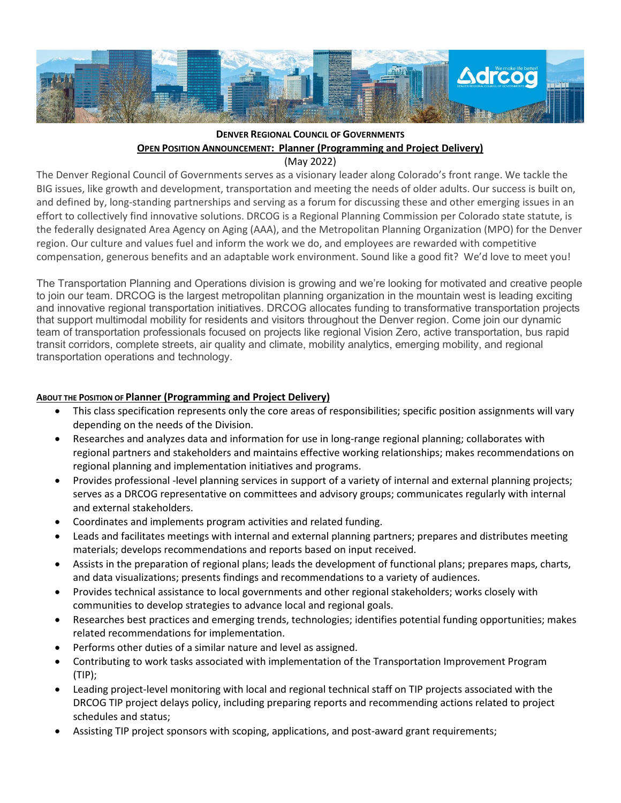

## **DENVER REGIONAL COUNCIL OF GOVERNMENTS OPEN POSITION ANNOUNCEMENT: Planner (Programming and Project Delivery)**

(May 2022)

The Denver Regional Council of Governments serves as a visionary leader along Colorado's front range. We tackle the BIG issues, like growth and development, transportation and meeting the needs of older adults. Our success is built on, and defined by, long-standing partnerships and serving as a forum for discussing these and other emerging issues in an effort to collectively find innovative solutions. DRCOG is a Regional Planning Commission per Colorado state statute, is the federally designated Area Agency on Aging (AAA), and the Metropolitan Planning Organization (MPO) for the Denver region. Our culture and values fuel and inform the work we do, and employees are rewarded with competitive compensation, generous benefits and an adaptable work environment. Sound like a good fit? We'd love to meet you!

The Transportation Planning and Operations division is growing and we're looking for motivated and creative people to join our team. DRCOG is the largest metropolitan planning organization in the mountain west is leading exciting and innovative regional transportation initiatives. DRCOG allocates funding to transformative transportation projects that support multimodal mobility for residents and visitors throughout the Denver region. Come join our dynamic team of transportation professionals focused on projects like regional Vision Zero, active transportation, bus rapid transit corridors, complete streets, air quality and climate, mobility analytics, emerging mobility, and regional transportation operations and technology.

## **ABOUT THE POSITION OF Planner (Programming and Project Delivery)**

- This class specification represents only the core areas of responsibilities; specific position assignments will vary depending on the needs of the Division.
- Researches and analyzes data and information for use in long-range regional planning; collaborates with regional partners and stakeholders and maintains effective working relationships; makes recommendations on regional planning and implementation initiatives and programs.
- Provides professional -level planning services in support of a variety of internal and external planning projects; serves as a DRCOG representative on committees and advisory groups; communicates regularly with internal and external stakeholders.
- Coordinates and implements program activities and related funding.
- Leads and facilitates meetings with internal and external planning partners; prepares and distributes meeting materials; develops recommendations and reports based on input received.
- Assists in the preparation of regional plans; leads the development of functional plans; prepares maps, charts, and data visualizations; presents findings and recommendations to a variety of audiences.
- Provides technical assistance to local governments and other regional stakeholders; works closely with communities to develop strategies to advance local and regional goals.
- Researches best practices and emerging trends, technologies; identifies potential funding opportunities; makes related recommendations for implementation.
- Performs other duties of a similar nature and level as assigned.
- Contributing to work tasks associated with implementation of the Transportation Improvement Program (TIP);
- Leading project-level monitoring with local and regional technical staff on TIP projects associated with the DRCOG TIP project delays policy, including preparing reports and recommending actions related to project schedules and status;
- Assisting TIP project sponsors with scoping, applications, and post-award grant requirements;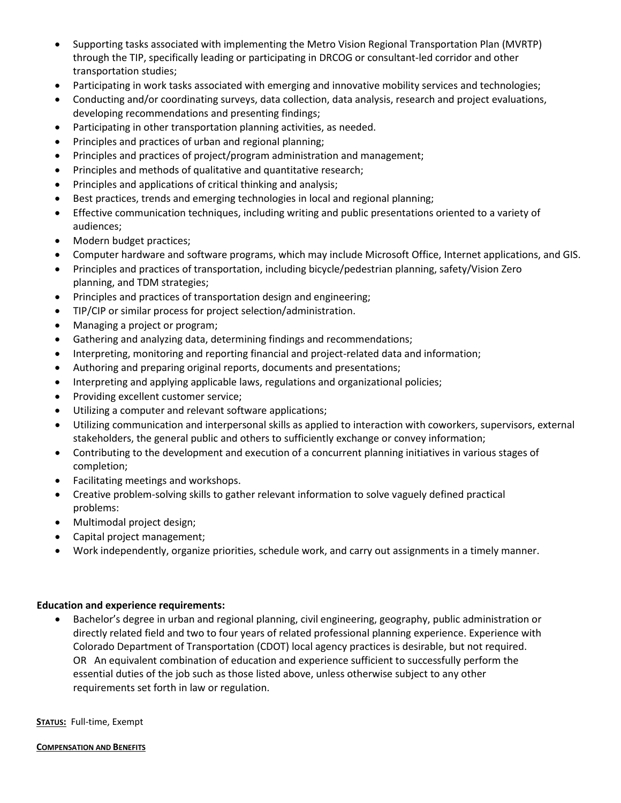- Supporting tasks associated with implementing the Metro Vision Regional Transportation Plan (MVRTP) through the TIP, specifically leading or participating in DRCOG or consultant-led corridor and other transportation studies;
- Participating in work tasks associated with emerging and innovative mobility services and technologies;
- Conducting and/or coordinating surveys, data collection, data analysis, research and project evaluations, developing recommendations and presenting findings;
- Participating in other transportation planning activities, as needed.
- Principles and practices of urban and regional planning;
- Principles and practices of project/program administration and management;
- Principles and methods of qualitative and quantitative research;
- Principles and applications of critical thinking and analysis;
- Best practices, trends and emerging technologies in local and regional planning;
- Effective communication techniques, including writing and public presentations oriented to a variety of audiences;
- Modern budget practices;
- Computer hardware and software programs, which may include Microsoft Office, Internet applications, and GIS.
- Principles and practices of transportation, including bicycle/pedestrian planning, safety/Vision Zero planning, and TDM strategies;
- Principles and practices of transportation design and engineering;
- TIP/CIP or similar process for project selection/administration.
- Managing a project or program;
- Gathering and analyzing data, determining findings and recommendations;
- Interpreting, monitoring and reporting financial and project-related data and information;
- Authoring and preparing original reports, documents and presentations;
- Interpreting and applying applicable laws, regulations and organizational policies;
- Providing excellent customer service;
- Utilizing a computer and relevant software applications;
- Utilizing communication and interpersonal skills as applied to interaction with coworkers, supervisors, external stakeholders, the general public and others to sufficiently exchange or convey information;
- Contributing to the development and execution of a concurrent planning initiatives in various stages of completion;
- Facilitating meetings and workshops.
- Creative problem-solving skills to gather relevant information to solve vaguely defined practical problems:
- Multimodal project design;
- Capital project management;
- Work independently, organize priorities, schedule work, and carry out assignments in a timely manner.

## **Education and experience requirements:**

• Bachelor's degree in urban and regional planning, civil engineering, geography, public administration or directly related field and two to four years of related professional planning experience. Experience with Colorado Department of Transportation (CDOT) local agency practices is desirable, but not required. OR An equivalent combination of education and experience sufficient to successfully perform the essential duties of the job such as those listed above, unless otherwise subject to any other requirements set forth in law or regulation.

**STATUS:** Full-time, Exempt